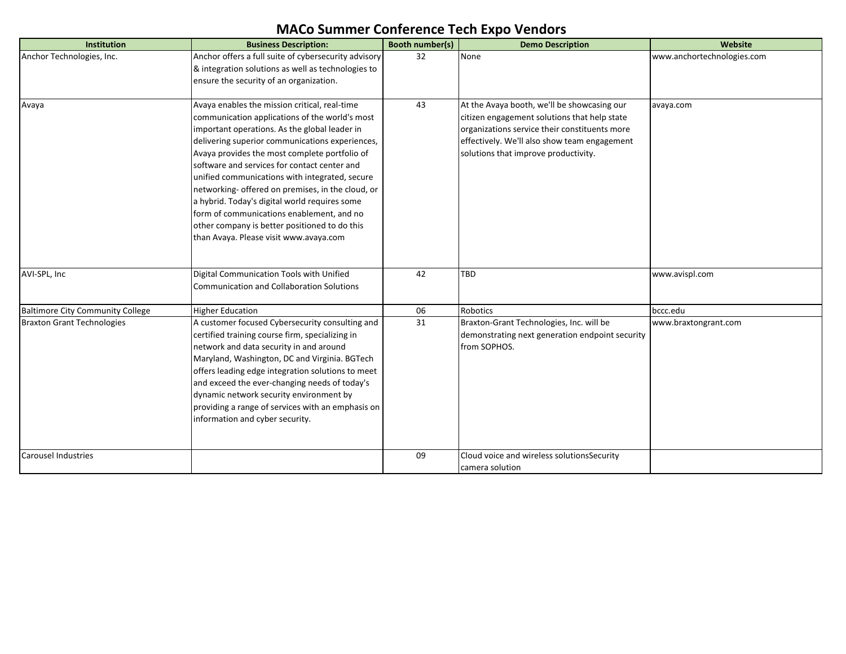| Institution                             | <b>Business Description:</b>                                                                 | <b>Booth number(s)</b> | <b>Demo Description</b>                         | Website                    |
|-----------------------------------------|----------------------------------------------------------------------------------------------|------------------------|-------------------------------------------------|----------------------------|
| Anchor Technologies, Inc.               | Anchor offers a full suite of cybersecurity advisory                                         | 32                     | None                                            | www.anchortechnologies.com |
|                                         | & integration solutions as well as technologies to                                           |                        |                                                 |                            |
|                                         | ensure the security of an organization.                                                      |                        |                                                 |                            |
|                                         |                                                                                              |                        |                                                 |                            |
| Avaya                                   | Avaya enables the mission critical, real-time                                                | 43                     | At the Avaya booth, we'll be showcasing our     | avaya.com                  |
|                                         | communication applications of the world's most                                               |                        | citizen engagement solutions that help state    |                            |
|                                         | important operations. As the global leader in                                                |                        | organizations service their constituents more   |                            |
|                                         | delivering superior communications experiences,                                              |                        | effectively. We'll also show team engagement    |                            |
|                                         | Avaya provides the most complete portfolio of                                                |                        | solutions that improve productivity.            |                            |
|                                         | software and services for contact center and                                                 |                        |                                                 |                            |
|                                         | unified communications with integrated, secure                                               |                        |                                                 |                            |
|                                         | networking- offered on premises, in the cloud, or                                            |                        |                                                 |                            |
|                                         | a hybrid. Today's digital world requires some                                                |                        |                                                 |                            |
|                                         | form of communications enablement, and no                                                    |                        |                                                 |                            |
|                                         | other company is better positioned to do this                                                |                        |                                                 |                            |
|                                         | than Avaya. Please visit www.avaya.com                                                       |                        |                                                 |                            |
|                                         |                                                                                              |                        |                                                 |                            |
|                                         |                                                                                              | 42                     | <b>TBD</b>                                      |                            |
| AVI-SPL, Inc                            | Digital Communication Tools with Unified<br><b>Communication and Collaboration Solutions</b> |                        |                                                 | www.avispl.com             |
|                                         |                                                                                              |                        |                                                 |                            |
| <b>Baltimore City Community College</b> | <b>Higher Education</b>                                                                      | 06                     | <b>Robotics</b>                                 | bccc.edu                   |
| <b>Braxton Grant Technologies</b>       | A customer focused Cybersecurity consulting and                                              | 31                     | Braxton-Grant Technologies, Inc. will be        | www.braxtongrant.com       |
|                                         | certified training course firm, specializing in                                              |                        | demonstrating next generation endpoint security |                            |
|                                         | network and data security in and around                                                      |                        | from SOPHOS.                                    |                            |
|                                         | Maryland, Washington, DC and Virginia. BGTech                                                |                        |                                                 |                            |
|                                         | offers leading edge integration solutions to meet                                            |                        |                                                 |                            |
|                                         | and exceed the ever-changing needs of today's                                                |                        |                                                 |                            |
|                                         | dynamic network security environment by                                                      |                        |                                                 |                            |
|                                         | providing a range of services with an emphasis on                                            |                        |                                                 |                            |
|                                         | information and cyber security.                                                              |                        |                                                 |                            |
|                                         |                                                                                              |                        |                                                 |                            |
| <b>Carousel Industries</b>              |                                                                                              | 09                     | Cloud voice and wireless solutionsSecurity      |                            |
|                                         |                                                                                              |                        | camera solution                                 |                            |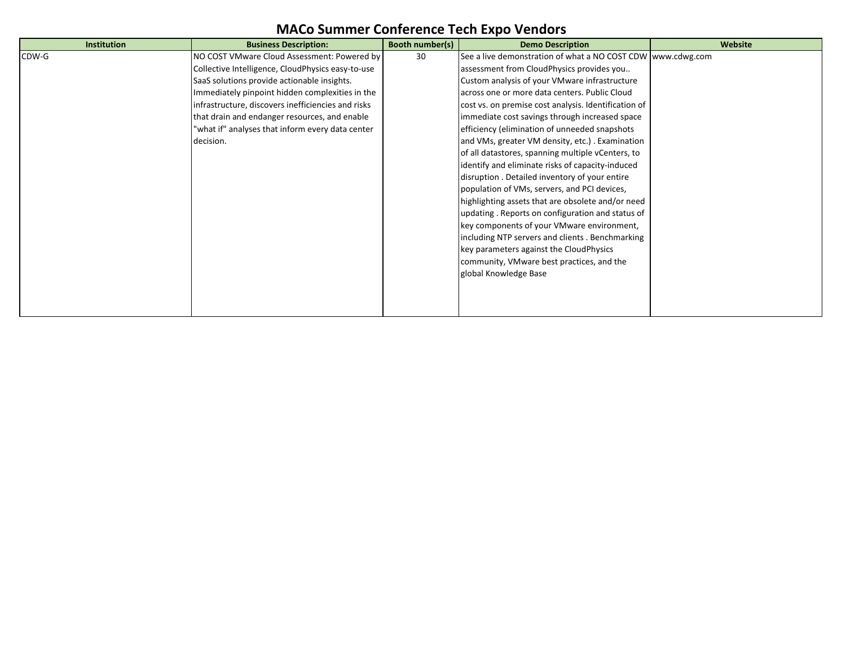| <b>Institution</b> | <b>Business Description:</b>                       | Booth number(s) | <b>Demo Description</b>                                     | Website |
|--------------------|----------------------------------------------------|-----------------|-------------------------------------------------------------|---------|
| CDW-G              | NO COST VMware Cloud Assessment: Powered by        | 30              | See a live demonstration of what a NO COST CDW www.cdwg.com |         |
|                    | Collective Intelligence, CloudPhysics easy-to-use  |                 | assessment from CloudPhysics provides you                   |         |
|                    | SaaS solutions provide actionable insights.        |                 | Custom analysis of your VMware infrastructure               |         |
|                    | Immediately pinpoint hidden complexities in the    |                 | across one or more data centers. Public Cloud               |         |
|                    | infrastructure, discovers inefficiencies and risks |                 | cost vs. on premise cost analysis. Identification of        |         |
|                    | that drain and endanger resources, and enable      |                 | immediate cost savings through increased space              |         |
|                    | 'what if" analyses that inform every data center   |                 | efficiency (elimination of unneeded snapshots               |         |
|                    | decision.                                          |                 | and VMs, greater VM density, etc.). Examination             |         |
|                    |                                                    |                 | of all datastores, spanning multiple vCenters, to           |         |
|                    |                                                    |                 | identify and eliminate risks of capacity-induced            |         |
|                    |                                                    |                 | disruption. Detailed inventory of your entire               |         |
|                    |                                                    |                 | population of VMs, servers, and PCI devices,                |         |
|                    |                                                    |                 | highlighting assets that are obsolete and/or need           |         |
|                    |                                                    |                 | updating. Reports on configuration and status of            |         |
|                    |                                                    |                 | key components of your VMware environment,                  |         |
|                    |                                                    |                 | including NTP servers and clients . Benchmarking            |         |
|                    |                                                    |                 | key parameters against the CloudPhysics                     |         |
|                    |                                                    |                 | community, VMware best practices, and the                   |         |
|                    |                                                    |                 | global Knowledge Base                                       |         |
|                    |                                                    |                 |                                                             |         |
|                    |                                                    |                 |                                                             |         |
|                    |                                                    |                 |                                                             |         |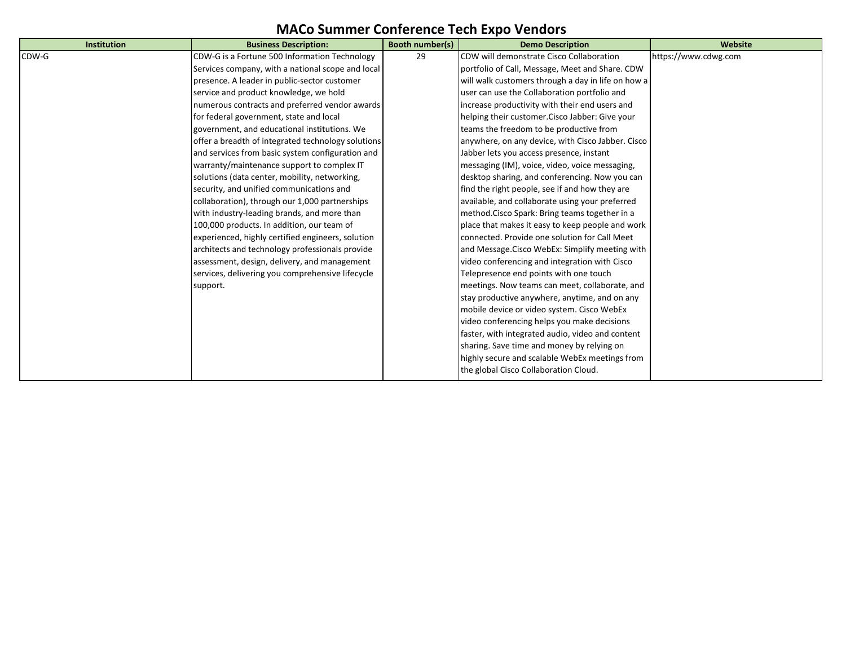| Institution | <b>Business Description:</b>                       | <b>Booth number(s)</b> | <b>Demo Description</b>                            | Website              |
|-------------|----------------------------------------------------|------------------------|----------------------------------------------------|----------------------|
| CDW-G       | CDW-G is a Fortune 500 Information Technology      | 29                     | CDW will demonstrate Cisco Collaboration           | https://www.cdwg.com |
|             | Services company, with a national scope and local  |                        | portfolio of Call, Message, Meet and Share. CDW    |                      |
|             | presence. A leader in public-sector customer       |                        | will walk customers through a day in life on how a |                      |
|             | service and product knowledge, we hold             |                        | user can use the Collaboration portfolio and       |                      |
|             | numerous contracts and preferred vendor awards     |                        | increase productivity with their end users and     |                      |
|             | for federal government, state and local            |                        | helping their customer. Cisco Jabber: Give your    |                      |
|             | government, and educational institutions. We       |                        | teams the freedom to be productive from            |                      |
|             | offer a breadth of integrated technology solutions |                        | anywhere, on any device, with Cisco Jabber. Cisco  |                      |
|             | and services from basic system configuration and   |                        | Jabber lets you access presence, instant           |                      |
|             | warranty/maintenance support to complex IT         |                        | messaging (IM), voice, video, voice messaging,     |                      |
|             | solutions (data center, mobility, networking,      |                        | desktop sharing, and conferencing. Now you can     |                      |
|             | security, and unified communications and           |                        | find the right people, see if and how they are     |                      |
|             | collaboration), through our 1,000 partnerships     |                        | available, and collaborate using your preferred    |                      |
|             | with industry-leading brands, and more than        |                        | method. Cisco Spark: Bring teams together in a     |                      |
|             | 100,000 products. In addition, our team of         |                        | place that makes it easy to keep people and work   |                      |
|             | experienced, highly certified engineers, solution  |                        | connected. Provide one solution for Call Meet      |                      |
|             | architects and technology professionals provide    |                        | and Message. Cisco WebEx: Simplify meeting with    |                      |
|             | assessment, design, delivery, and management       |                        | video conferencing and integration with Cisco      |                      |
|             | services, delivering you comprehensive lifecycle   |                        | Telepresence end points with one touch             |                      |
|             | support.                                           |                        | meetings. Now teams can meet, collaborate, and     |                      |
|             |                                                    |                        | stay productive anywhere, anytime, and on any      |                      |
|             |                                                    |                        | mobile device or video system. Cisco WebEx         |                      |
|             |                                                    |                        | video conferencing helps you make decisions        |                      |
|             |                                                    |                        | faster, with integrated audio, video and content   |                      |
|             |                                                    |                        | sharing. Save time and money by relying on         |                      |
|             |                                                    |                        | highly secure and scalable WebEx meetings from     |                      |
|             |                                                    |                        | the global Cisco Collaboration Cloud.              |                      |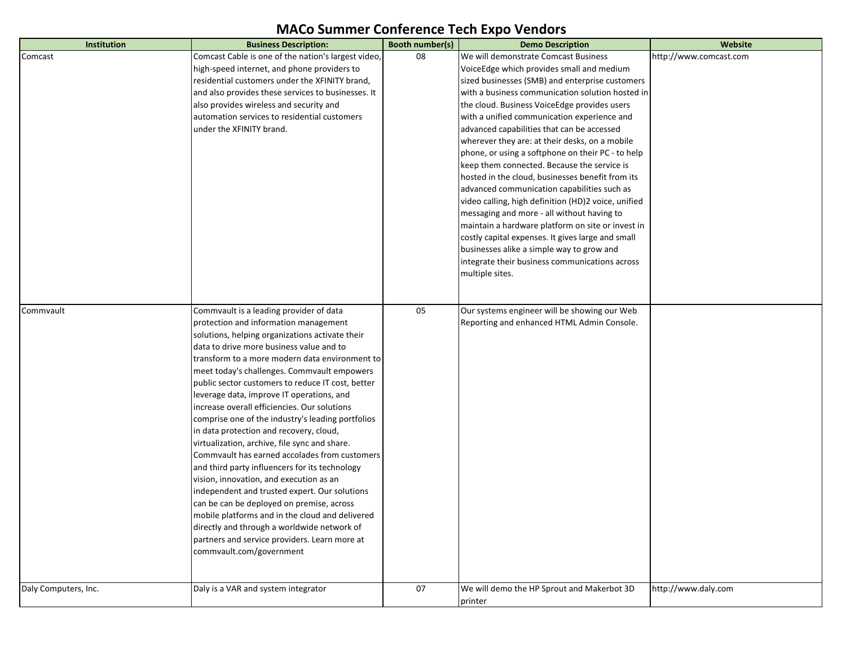| Institution          | <b>Business Description:</b>                        | Booth number(s) | <b>Demo Description</b>                             | Website                |
|----------------------|-----------------------------------------------------|-----------------|-----------------------------------------------------|------------------------|
| Comcast              | Comcast Cable is one of the nation's largest video, | 08              | We will demonstrate Comcast Business                | http://www.comcast.com |
|                      | high-speed internet, and phone providers to         |                 | VoiceEdge which provides small and medium           |                        |
|                      | residential customers under the XFINITY brand,      |                 | sized businesses (SMB) and enterprise customers     |                        |
|                      | and also provides these services to businesses. It  |                 | with a business communication solution hosted in    |                        |
|                      | also provides wireless and security and             |                 | the cloud. Business VoiceEdge provides users        |                        |
|                      | automation services to residential customers        |                 | with a unified communication experience and         |                        |
|                      | under the XFINITY brand.                            |                 | advanced capabilities that can be accessed          |                        |
|                      |                                                     |                 | wherever they are: at their desks, on a mobile      |                        |
|                      |                                                     |                 | phone, or using a softphone on their PC - to help   |                        |
|                      |                                                     |                 | keep them connected. Because the service is         |                        |
|                      |                                                     |                 | hosted in the cloud, businesses benefit from its    |                        |
|                      |                                                     |                 | advanced communication capabilities such as         |                        |
|                      |                                                     |                 | video calling, high definition (HD)2 voice, unified |                        |
|                      |                                                     |                 | messaging and more - all without having to          |                        |
|                      |                                                     |                 | maintain a hardware platform on site or invest in   |                        |
|                      |                                                     |                 | costly capital expenses. It gives large and small   |                        |
|                      |                                                     |                 | businesses alike a simple way to grow and           |                        |
|                      |                                                     |                 | integrate their business communications across      |                        |
|                      |                                                     |                 | multiple sites.                                     |                        |
|                      |                                                     |                 |                                                     |                        |
| Commvault            | Commvault is a leading provider of data             | 05              | Our systems engineer will be showing our Web        |                        |
|                      | protection and information management               |                 | Reporting and enhanced HTML Admin Console.          |                        |
|                      | solutions, helping organizations activate their     |                 |                                                     |                        |
|                      | data to drive more business value and to            |                 |                                                     |                        |
|                      | transform to a more modern data environment to      |                 |                                                     |                        |
|                      | meet today's challenges. Commvault empowers         |                 |                                                     |                        |
|                      | public sector customers to reduce IT cost, better   |                 |                                                     |                        |
|                      | leverage data, improve IT operations, and           |                 |                                                     |                        |
|                      | increase overall efficiencies. Our solutions        |                 |                                                     |                        |
|                      | comprise one of the industry's leading portfolios   |                 |                                                     |                        |
|                      | in data protection and recovery, cloud,             |                 |                                                     |                        |
|                      | virtualization, archive, file sync and share.       |                 |                                                     |                        |
|                      | Commvault has earned accolades from customers       |                 |                                                     |                        |
|                      | and third party influencers for its technology      |                 |                                                     |                        |
|                      | vision, innovation, and execution as an             |                 |                                                     |                        |
|                      | independent and trusted expert. Our solutions       |                 |                                                     |                        |
|                      | can be can be deployed on premise, across           |                 |                                                     |                        |
|                      | mobile platforms and in the cloud and delivered     |                 |                                                     |                        |
|                      | directly and through a worldwide network of         |                 |                                                     |                        |
|                      | partners and service providers. Learn more at       |                 |                                                     |                        |
|                      | commvault.com/government                            |                 |                                                     |                        |
|                      |                                                     |                 |                                                     |                        |
|                      |                                                     |                 |                                                     |                        |
| Daly Computers, Inc. | Daly is a VAR and system integrator                 | 07              | We will demo the HP Sprout and Makerbot 3D          | http://www.daly.com    |
|                      |                                                     |                 | printer                                             |                        |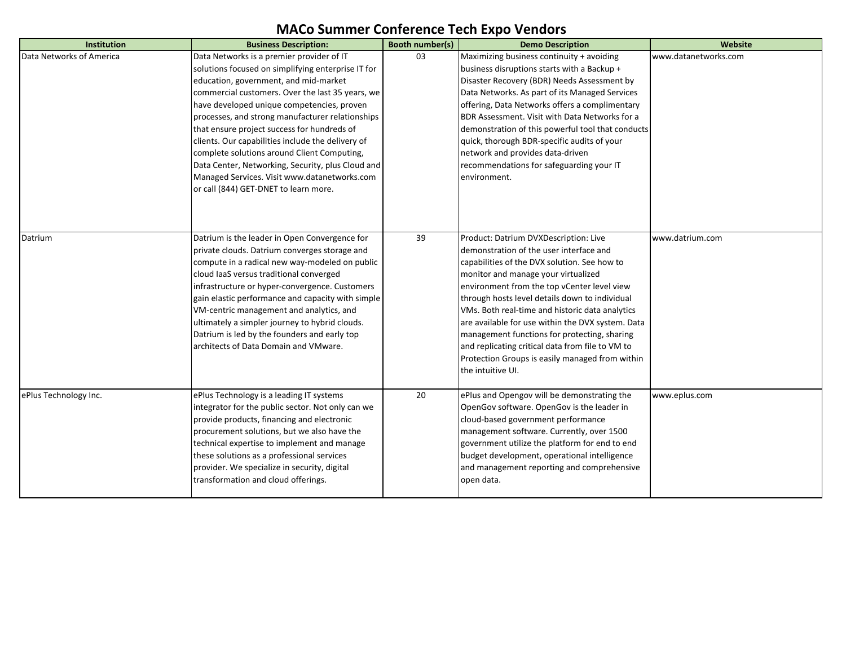| <b>Institution</b>       | <b>Business Description:</b>                                                                                                                                                                                                                                                                                                                                                                                                                                                                                                                           | <b>Booth number(s)</b> | <b>Demo Description</b>                                                                                                                                                                                                                                                                                                                                                                                                                                                                                                                                       | Website              |
|--------------------------|--------------------------------------------------------------------------------------------------------------------------------------------------------------------------------------------------------------------------------------------------------------------------------------------------------------------------------------------------------------------------------------------------------------------------------------------------------------------------------------------------------------------------------------------------------|------------------------|---------------------------------------------------------------------------------------------------------------------------------------------------------------------------------------------------------------------------------------------------------------------------------------------------------------------------------------------------------------------------------------------------------------------------------------------------------------------------------------------------------------------------------------------------------------|----------------------|
| Data Networks of America | Data Networks is a premier provider of IT<br>solutions focused on simplifying enterprise IT for<br>education, government, and mid-market<br>commercial customers. Over the last 35 years, we<br>have developed unique competencies, proven<br>processes, and strong manufacturer relationships<br>that ensure project success for hundreds of<br>clients. Our capabilities include the delivery of<br>complete solutions around Client Computing,<br>Data Center, Networking, Security, plus Cloud and<br>Managed Services. Visit www.datanetworks.com | 03                     | Maximizing business continuity + avoiding<br>business disruptions starts with a Backup +<br>Disaster Recovery (BDR) Needs Assessment by<br>Data Networks. As part of its Managed Services<br>offering, Data Networks offers a complimentary<br>BDR Assessment. Visit with Data Networks for a<br>demonstration of this powerful tool that conducts<br>quick, thorough BDR-specific audits of your<br>network and provides data-driven<br>recommendations for safeguarding your IT<br>lenvironment.                                                            | www.datanetworks.com |
| Datrium                  | or call (844) GET-DNET to learn more.<br>Datrium is the leader in Open Convergence for<br>private clouds. Datrium converges storage and<br>compute in a radical new way-modeled on public<br>cloud laaS versus traditional converged<br>infrastructure or hyper-convergence. Customers<br>gain elastic performance and capacity with simple<br>VM-centric management and analytics, and<br>ultimately a simpler journey to hybrid clouds.<br>Datrium is led by the founders and early top<br>architects of Data Domain and VMware.                     | 39                     | Product: Datrium DVXDescription: Live<br>ldemonstration of the user interface and<br>capabilities of the DVX solution. See how to<br>monitor and manage your virtualized<br>environment from the top vCenter level view<br>through hosts level details down to individual<br>VMs. Both real-time and historic data analytics<br>are available for use within the DVX system. Data<br>management functions for protecting, sharing<br>and replicating critical data from file to VM to<br>Protection Groups is easily managed from within<br>the intuitive UI. | www.datrium.com      |
| ePlus Technology Inc.    | ePlus Technology is a leading IT systems<br>integrator for the public sector. Not only can we<br>provide products, financing and electronic<br>procurement solutions, but we also have the<br>technical expertise to implement and manage<br>these solutions as a professional services<br>provider. We specialize in security, digital<br>transformation and cloud offerings.                                                                                                                                                                         | 20                     | ePlus and Opengov will be demonstrating the<br>OpenGov software. OpenGov is the leader in<br>cloud-based government performance<br>management software. Currently, over 1500<br>government utilize the platform for end to end<br>budget development, operational intelligence<br>and management reporting and comprehensive<br>open data.                                                                                                                                                                                                                    | www.eplus.com        |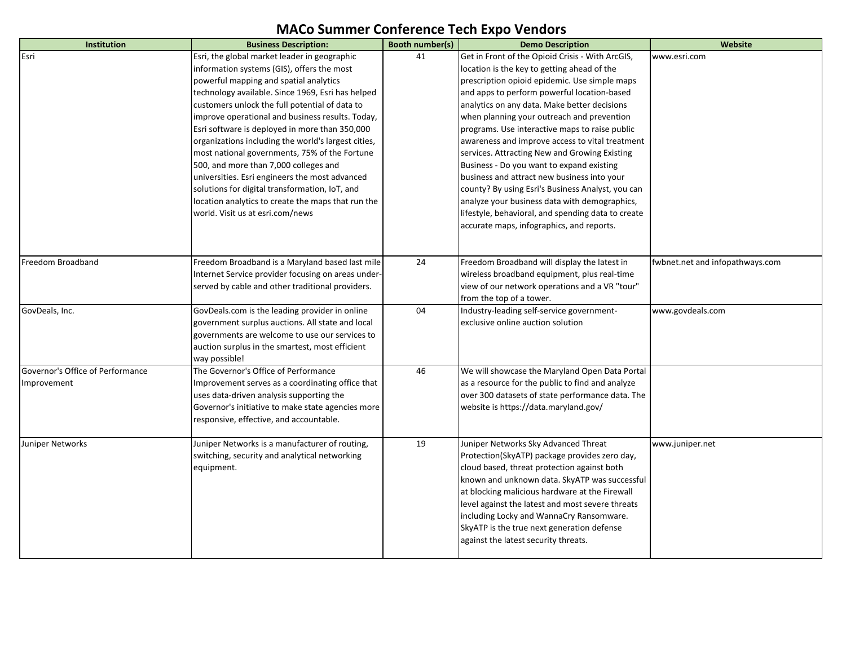| Institution                      | <b>Business Description:</b>                        | Booth number(s) | <b>Demo Description</b>                            | Website                         |
|----------------------------------|-----------------------------------------------------|-----------------|----------------------------------------------------|---------------------------------|
| Esri                             | Esri, the global market leader in geographic        | 41              | Get in Front of the Opioid Crisis - With ArcGIS,   | www.esri.com                    |
|                                  | information systems (GIS), offers the most          |                 | location is the key to getting ahead of the        |                                 |
|                                  | powerful mapping and spatial analytics              |                 | prescription opioid epidemic. Use simple maps      |                                 |
|                                  | technology available. Since 1969, Esri has helped   |                 | and apps to perform powerful location-based        |                                 |
|                                  | customers unlock the full potential of data to      |                 | analytics on any data. Make better decisions       |                                 |
|                                  | improve operational and business results. Today,    |                 | when planning your outreach and prevention         |                                 |
|                                  | Esri software is deployed in more than 350,000      |                 | programs. Use interactive maps to raise public     |                                 |
|                                  | organizations including the world's largest cities, |                 | awareness and improve access to vital treatment    |                                 |
|                                  | most national governments, 75% of the Fortune       |                 | services. Attracting New and Growing Existing      |                                 |
|                                  | 500, and more than 7,000 colleges and               |                 | Business - Do you want to expand existing          |                                 |
|                                  | universities. Esri engineers the most advanced      |                 | business and attract new business into your        |                                 |
|                                  | solutions for digital transformation, IoT, and      |                 | county? By using Esri's Business Analyst, you can  |                                 |
|                                  | location analytics to create the maps that run the  |                 | analyze your business data with demographics,      |                                 |
|                                  | world. Visit us at esri.com/news                    |                 | lifestyle, behavioral, and spending data to create |                                 |
|                                  |                                                     |                 | accurate maps, infographics, and reports.          |                                 |
|                                  |                                                     |                 |                                                    |                                 |
|                                  |                                                     |                 |                                                    |                                 |
| Freedom Broadband                | Freedom Broadband is a Maryland based last mile     | 24              | Freedom Broadband will display the latest in       | fwbnet.net and infopathways.com |
|                                  | Internet Service provider focusing on areas under-  |                 | wireless broadband equipment, plus real-time       |                                 |
|                                  | served by cable and other traditional providers.    |                 | view of our network operations and a VR "tour"     |                                 |
|                                  |                                                     |                 | from the top of a tower.                           |                                 |
| GovDeals, Inc.                   | GovDeals.com is the leading provider in online      | 04              | Industry-leading self-service government-          | www.govdeals.com                |
|                                  | government surplus auctions. All state and local    |                 | exclusive online auction solution                  |                                 |
|                                  | governments are welcome to use our services to      |                 |                                                    |                                 |
|                                  | auction surplus in the smartest, most efficient     |                 |                                                    |                                 |
|                                  | way possible!                                       |                 |                                                    |                                 |
| Governor's Office of Performance | The Governor's Office of Performance                | 46              | We will showcase the Maryland Open Data Portal     |                                 |
| Improvement                      | Improvement serves as a coordinating office that    |                 | as a resource for the public to find and analyze   |                                 |
|                                  | uses data-driven analysis supporting the            |                 | over 300 datasets of state performance data. The   |                                 |
|                                  | Governor's initiative to make state agencies more   |                 | website is https://data.maryland.gov/              |                                 |
|                                  | responsive, effective, and accountable.             |                 |                                                    |                                 |
| Juniper Networks                 | Juniper Networks is a manufacturer of routing,      | 19              | Juniper Networks Sky Advanced Threat               | www.juniper.net                 |
|                                  | switching, security and analytical networking       |                 | Protection(SkyATP) package provides zero day,      |                                 |
|                                  | equipment.                                          |                 | cloud based, threat protection against both        |                                 |
|                                  |                                                     |                 | known and unknown data. SkyATP was successful      |                                 |
|                                  |                                                     |                 | at blocking malicious hardware at the Firewall     |                                 |
|                                  |                                                     |                 | level against the latest and most severe threats   |                                 |
|                                  |                                                     |                 | including Locky and WannaCry Ransomware.           |                                 |
|                                  |                                                     |                 | SkyATP is the true next generation defense         |                                 |
|                                  |                                                     |                 | against the latest security threats.               |                                 |
|                                  |                                                     |                 |                                                    |                                 |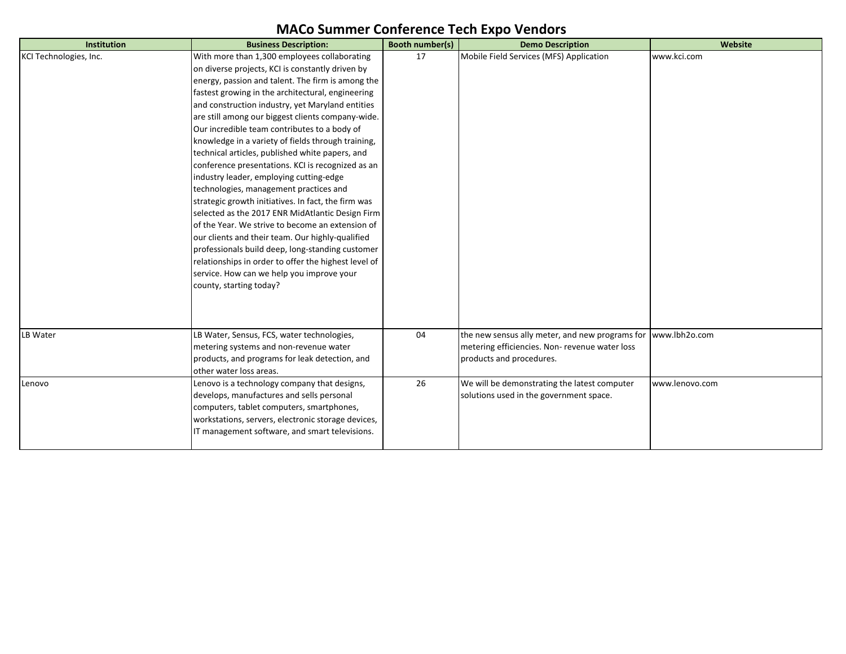| Institution            | <b>Business Description:</b>                         | Booth number(s) | <b>Demo Description</b>                                       | Website        |
|------------------------|------------------------------------------------------|-----------------|---------------------------------------------------------------|----------------|
| KCI Technologies, Inc. | With more than 1,300 employees collaborating         | 17              | Mobile Field Services (MFS) Application                       | www.kci.com    |
|                        | on diverse projects, KCI is constantly driven by     |                 |                                                               |                |
|                        | energy, passion and talent. The firm is among the    |                 |                                                               |                |
|                        | fastest growing in the architectural, engineering    |                 |                                                               |                |
|                        | and construction industry, yet Maryland entities     |                 |                                                               |                |
|                        | are still among our biggest clients company-wide.    |                 |                                                               |                |
|                        | Our incredible team contributes to a body of         |                 |                                                               |                |
|                        | knowledge in a variety of fields through training,   |                 |                                                               |                |
|                        | technical articles, published white papers, and      |                 |                                                               |                |
|                        | conference presentations. KCI is recognized as an    |                 |                                                               |                |
|                        | industry leader, employing cutting-edge              |                 |                                                               |                |
|                        | technologies, management practices and               |                 |                                                               |                |
|                        | strategic growth initiatives. In fact, the firm was  |                 |                                                               |                |
|                        | selected as the 2017 ENR MidAtlantic Design Firm     |                 |                                                               |                |
|                        | of the Year. We strive to become an extension of     |                 |                                                               |                |
|                        | our clients and their team. Our highly-qualified     |                 |                                                               |                |
|                        | professionals build deep, long-standing customer     |                 |                                                               |                |
|                        | relationships in order to offer the highest level of |                 |                                                               |                |
|                        | service. How can we help you improve your            |                 |                                                               |                |
|                        | county, starting today?                              |                 |                                                               |                |
|                        |                                                      |                 |                                                               |                |
|                        |                                                      |                 |                                                               |                |
|                        |                                                      |                 |                                                               |                |
| LB Water               | LB Water, Sensus, FCS, water technologies,           | 04              | the new sensus ally meter, and new programs for www.lbh2o.com |                |
|                        | metering systems and non-revenue water               |                 | metering efficiencies. Non-revenue water loss                 |                |
|                        | products, and programs for leak detection, and       |                 | products and procedures.                                      |                |
|                        | other water loss areas.                              |                 |                                                               |                |
| Lenovo                 | Lenovo is a technology company that designs,         | 26              | We will be demonstrating the latest computer                  | www.lenovo.com |
|                        | develops, manufactures and sells personal            |                 | solutions used in the government space.                       |                |
|                        | computers, tablet computers, smartphones,            |                 |                                                               |                |
|                        | workstations, servers, electronic storage devices,   |                 |                                                               |                |
|                        | IT management software, and smart televisions.       |                 |                                                               |                |
|                        |                                                      |                 |                                                               |                |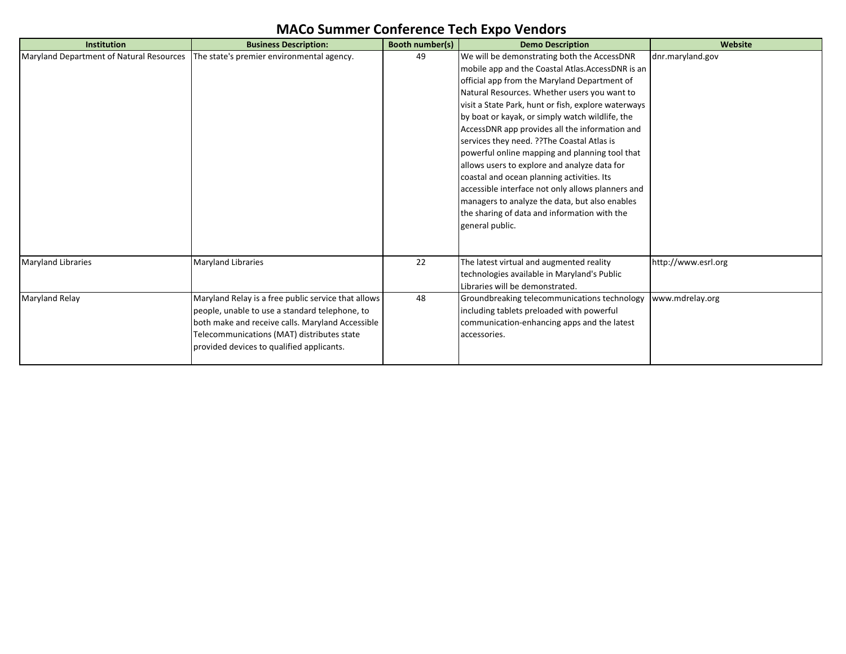| Institution                              | <b>Business Description:</b>                                                                                                                                                                                                                         | <b>Booth number(s)</b> | <b>Demo Description</b>                                                                                                                                                                                                                                                                                                                                                                                                                                                                                                                                                                                                                                                                                                               | Website             |
|------------------------------------------|------------------------------------------------------------------------------------------------------------------------------------------------------------------------------------------------------------------------------------------------------|------------------------|---------------------------------------------------------------------------------------------------------------------------------------------------------------------------------------------------------------------------------------------------------------------------------------------------------------------------------------------------------------------------------------------------------------------------------------------------------------------------------------------------------------------------------------------------------------------------------------------------------------------------------------------------------------------------------------------------------------------------------------|---------------------|
| Maryland Department of Natural Resources | The state's premier environmental agency.                                                                                                                                                                                                            | 49                     | We will be demonstrating both the AccessDNR<br>mobile app and the Coastal Atlas. AccessDNR is an<br>official app from the Maryland Department of<br>Natural Resources. Whether users you want to<br>visit a State Park, hunt or fish, explore waterways<br>by boat or kayak, or simply watch wildlife, the<br>AccessDNR app provides all the information and<br>services they need. ?? The Coastal Atlas is<br>powerful online mapping and planning tool that<br>allows users to explore and analyze data for<br>coastal and ocean planning activities. Its<br>accessible interface not only allows planners and<br>managers to analyze the data, but also enables<br>the sharing of data and information with the<br>general public. | dnr.maryland.gov    |
| <b>Maryland Libraries</b>                | <b>Maryland Libraries</b>                                                                                                                                                                                                                            | 22                     | The latest virtual and augmented reality<br>technologies available in Maryland's Public<br>Libraries will be demonstrated.                                                                                                                                                                                                                                                                                                                                                                                                                                                                                                                                                                                                            | http://www.esrl.org |
| <b>Maryland Relay</b>                    | Maryland Relay is a free public service that allows<br>people, unable to use a standard telephone, to<br>both make and receive calls. Maryland Accessible<br>Telecommunications (MAT) distributes state<br>provided devices to qualified applicants. | 48                     | Groundbreaking telecommunications technology<br>including tablets preloaded with powerful<br>communication-enhancing apps and the latest<br>accessories.                                                                                                                                                                                                                                                                                                                                                                                                                                                                                                                                                                              | www.mdrelay.org     |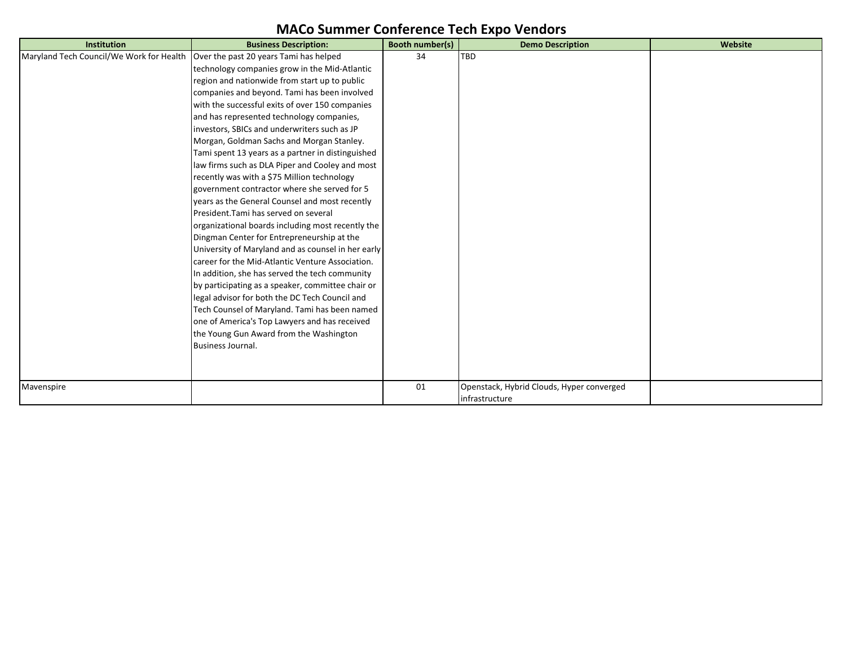| <b>Institution</b>                       | <b>Business Description:</b>                       | <b>Booth number(s)</b> | <b>Demo Description</b>                   | Website |
|------------------------------------------|----------------------------------------------------|------------------------|-------------------------------------------|---------|
| Maryland Tech Council/We Work for Health | Over the past 20 years Tami has helped             | 34                     | <b>TBD</b>                                |         |
|                                          | technology companies grow in the Mid-Atlantic      |                        |                                           |         |
|                                          | region and nationwide from start up to public      |                        |                                           |         |
|                                          | companies and beyond. Tami has been involved       |                        |                                           |         |
|                                          | with the successful exits of over 150 companies    |                        |                                           |         |
|                                          | and has represented technology companies,          |                        |                                           |         |
|                                          | investors, SBICs and underwriters such as JP       |                        |                                           |         |
|                                          | Morgan, Goldman Sachs and Morgan Stanley.          |                        |                                           |         |
|                                          | Tami spent 13 years as a partner in distinguished  |                        |                                           |         |
|                                          | law firms such as DLA Piper and Cooley and most    |                        |                                           |         |
|                                          | recently was with a \$75 Million technology        |                        |                                           |         |
|                                          | government contractor where she served for 5       |                        |                                           |         |
|                                          | years as the General Counsel and most recently     |                        |                                           |         |
|                                          | President. Tami has served on several              |                        |                                           |         |
|                                          | organizational boards including most recently the  |                        |                                           |         |
|                                          | Dingman Center for Entrepreneurship at the         |                        |                                           |         |
|                                          | University of Maryland and as counsel in her early |                        |                                           |         |
|                                          | career for the Mid-Atlantic Venture Association.   |                        |                                           |         |
|                                          | In addition, she has served the tech community     |                        |                                           |         |
|                                          | by participating as a speaker, committee chair or  |                        |                                           |         |
|                                          | legal advisor for both the DC Tech Council and     |                        |                                           |         |
|                                          | Tech Counsel of Maryland. Tami has been named      |                        |                                           |         |
|                                          | one of America's Top Lawyers and has received      |                        |                                           |         |
|                                          | the Young Gun Award from the Washington            |                        |                                           |         |
|                                          | Business Journal.                                  |                        |                                           |         |
|                                          |                                                    |                        |                                           |         |
|                                          |                                                    |                        |                                           |         |
| Mavenspire                               |                                                    | 01                     | Openstack, Hybrid Clouds, Hyper converged |         |
|                                          |                                                    |                        | infrastructure                            |         |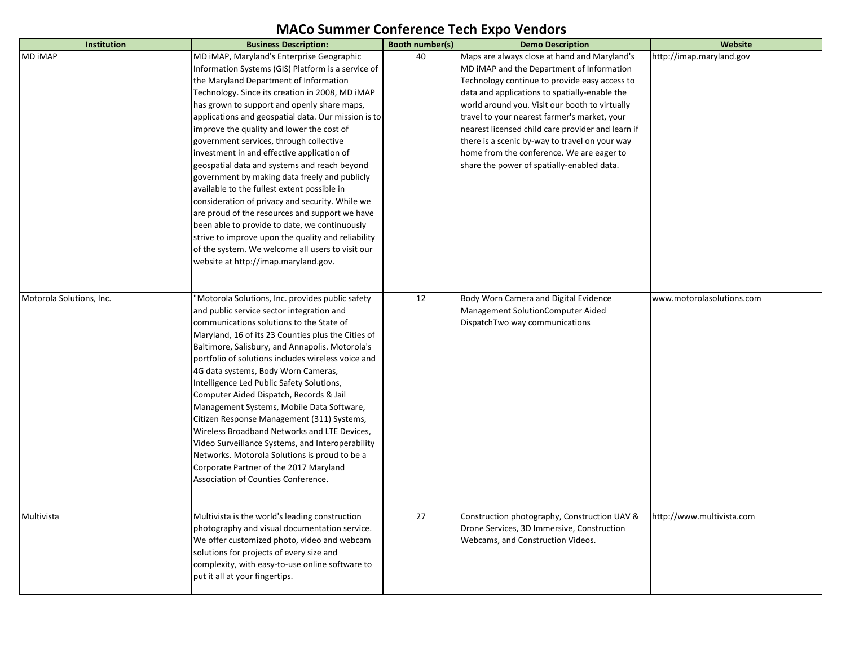| Institution              | <b>Business Description:</b>                                                                          | Booth number(s) | <b>Demo Description</b>                           | Website                   |
|--------------------------|-------------------------------------------------------------------------------------------------------|-----------------|---------------------------------------------------|---------------------------|
| <b>MD IMAP</b>           | MD IMAP, Maryland's Enterprise Geographic                                                             | 40              | Maps are always close at hand and Maryland's      | http://imap.maryland.gov  |
|                          | Information Systems (GIS) Platform is a service of                                                    |                 | MD IMAP and the Department of Information         |                           |
|                          | the Maryland Department of Information                                                                |                 | Technology continue to provide easy access to     |                           |
|                          | Technology. Since its creation in 2008, MD iMAP                                                       |                 | data and applications to spatially-enable the     |                           |
|                          | has grown to support and openly share maps,                                                           |                 | world around you. Visit our booth to virtually    |                           |
|                          | applications and geospatial data. Our mission is to                                                   |                 | travel to your nearest farmer's market, your      |                           |
|                          | improve the quality and lower the cost of                                                             |                 | nearest licensed child care provider and learn if |                           |
|                          | government services, through collective                                                               |                 | there is a scenic by-way to travel on your way    |                           |
|                          | investment in and effective application of                                                            |                 | home from the conference. We are eager to         |                           |
|                          | geospatial data and systems and reach beyond                                                          |                 | share the power of spatially-enabled data.        |                           |
|                          | government by making data freely and publicly                                                         |                 |                                                   |                           |
|                          | available to the fullest extent possible in                                                           |                 |                                                   |                           |
|                          | consideration of privacy and security. While we                                                       |                 |                                                   |                           |
|                          | are proud of the resources and support we have                                                        |                 |                                                   |                           |
|                          | been able to provide to date, we continuously                                                         |                 |                                                   |                           |
|                          | strive to improve upon the quality and reliability                                                    |                 |                                                   |                           |
|                          | of the system. We welcome all users to visit our                                                      |                 |                                                   |                           |
|                          | website at http://imap.maryland.gov.                                                                  |                 |                                                   |                           |
|                          |                                                                                                       |                 |                                                   |                           |
|                          |                                                                                                       |                 |                                                   |                           |
| Motorola Solutions, Inc. | 'Motorola Solutions, Inc. provides public safety                                                      | 12              | Body Worn Camera and Digital Evidence             | www.motorolasolutions.com |
|                          | and public service sector integration and                                                             |                 | Management SolutionComputer Aided                 |                           |
|                          | communications solutions to the State of                                                              |                 | DispatchTwo way communications                    |                           |
|                          | Maryland, 16 of its 23 Counties plus the Cities of<br>Baltimore, Salisbury, and Annapolis. Motorola's |                 |                                                   |                           |
|                          | portfolio of solutions includes wireless voice and                                                    |                 |                                                   |                           |
|                          | 4G data systems, Body Worn Cameras,                                                                   |                 |                                                   |                           |
|                          | Intelligence Led Public Safety Solutions,                                                             |                 |                                                   |                           |
|                          | Computer Aided Dispatch, Records & Jail                                                               |                 |                                                   |                           |
|                          | Management Systems, Mobile Data Software,                                                             |                 |                                                   |                           |
|                          | Citizen Response Management (311) Systems,                                                            |                 |                                                   |                           |
|                          | Wireless Broadband Networks and LTE Devices,                                                          |                 |                                                   |                           |
|                          | Video Surveillance Systems, and Interoperability                                                      |                 |                                                   |                           |
|                          | Networks. Motorola Solutions is proud to be a                                                         |                 |                                                   |                           |
|                          | Corporate Partner of the 2017 Maryland                                                                |                 |                                                   |                           |
|                          | Association of Counties Conference.                                                                   |                 |                                                   |                           |
|                          |                                                                                                       |                 |                                                   |                           |
|                          |                                                                                                       |                 |                                                   |                           |
| Multivista               | Multivista is the world's leading construction                                                        | 27              | Construction photography, Construction UAV &      | http://www.multivista.com |
|                          | photography and visual documentation service.                                                         |                 | Drone Services, 3D Immersive, Construction        |                           |
|                          | We offer customized photo, video and webcam                                                           |                 | Webcams, and Construction Videos.                 |                           |
|                          | solutions for projects of every size and                                                              |                 |                                                   |                           |
|                          | complexity, with easy-to-use online software to                                                       |                 |                                                   |                           |
|                          | put it all at your fingertips.                                                                        |                 |                                                   |                           |
|                          |                                                                                                       |                 |                                                   |                           |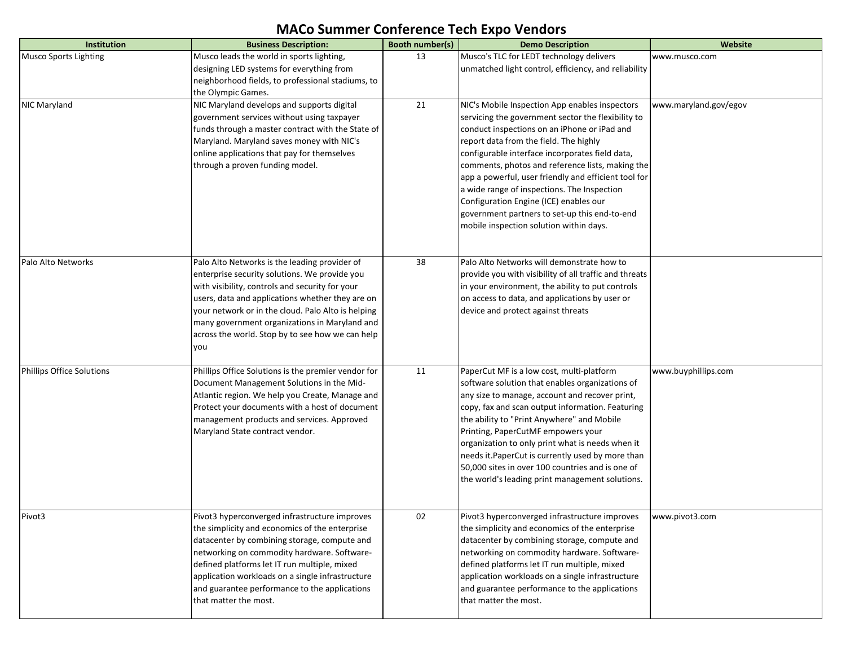| <b>Institution</b>        | <b>Business Description:</b>                                                                        | Booth number(s) | <b>Demo Description</b>                                                                            | Website               |
|---------------------------|-----------------------------------------------------------------------------------------------------|-----------------|----------------------------------------------------------------------------------------------------|-----------------------|
| Musco Sports Lighting     | Musco leads the world in sports lighting,                                                           | 13              | Musco's TLC for LEDT technology delivers                                                           | www.musco.com         |
|                           | designing LED systems for everything from<br>neighborhood fields, to professional stadiums, to      |                 | unmatched light control, efficiency, and reliability                                               |                       |
|                           | the Olympic Games.                                                                                  |                 |                                                                                                    |                       |
| NIC Maryland              | NIC Maryland develops and supports digital                                                          | 21              | NIC's Mobile Inspection App enables inspectors                                                     | www.maryland.gov/egov |
|                           | government services without using taxpayer                                                          |                 | servicing the government sector the flexibility to                                                 |                       |
|                           | funds through a master contract with the State of                                                   |                 | conduct inspections on an iPhone or iPad and                                                       |                       |
|                           | Maryland. Maryland saves money with NIC's<br>online applications that pay for themselves            |                 | report data from the field. The highly<br>configurable interface incorporates field data,          |                       |
|                           | through a proven funding model.                                                                     |                 | comments, photos and reference lists, making the                                                   |                       |
|                           |                                                                                                     |                 | app a powerful, user friendly and efficient tool for                                               |                       |
|                           |                                                                                                     |                 | a wide range of inspections. The Inspection                                                        |                       |
|                           |                                                                                                     |                 | Configuration Engine (ICE) enables our                                                             |                       |
|                           |                                                                                                     |                 | government partners to set-up this end-to-end<br>mobile inspection solution within days.           |                       |
|                           |                                                                                                     |                 |                                                                                                    |                       |
|                           |                                                                                                     |                 |                                                                                                    |                       |
| Palo Alto Networks        | Palo Alto Networks is the leading provider of                                                       | 38              | Palo Alto Networks will demonstrate how to                                                         |                       |
|                           | enterprise security solutions. We provide you                                                       |                 | provide you with visibility of all traffic and threats                                             |                       |
|                           | with visibility, controls and security for your<br>users, data and applications whether they are on |                 | in your environment, the ability to put controls<br>on access to data, and applications by user or |                       |
|                           | your network or in the cloud. Palo Alto is helping                                                  |                 | device and protect against threats                                                                 |                       |
|                           | many government organizations in Maryland and                                                       |                 |                                                                                                    |                       |
|                           | across the world. Stop by to see how we can help                                                    |                 |                                                                                                    |                       |
|                           | you                                                                                                 |                 |                                                                                                    |                       |
| Phillips Office Solutions | Phillips Office Solutions is the premier vendor for                                                 | 11              | PaperCut MF is a low cost, multi-platform                                                          | www.buyphillips.com   |
|                           | Document Management Solutions in the Mid-                                                           |                 | software solution that enables organizations of                                                    |                       |
|                           | Atlantic region. We help you Create, Manage and                                                     |                 | any size to manage, account and recover print,                                                     |                       |
|                           | Protect your documents with a host of document                                                      |                 | copy, fax and scan output information. Featuring                                                   |                       |
|                           | management products and services. Approved<br>Maryland State contract vendor.                       |                 | the ability to "Print Anywhere" and Mobile<br>Printing, PaperCutMF empowers your                   |                       |
|                           |                                                                                                     |                 | organization to only print what is needs when it                                                   |                       |
|                           |                                                                                                     |                 | needs it. PaperCut is currently used by more than                                                  |                       |
|                           |                                                                                                     |                 | 50,000 sites in over 100 countries and is one of                                                   |                       |
|                           |                                                                                                     |                 | the world's leading print management solutions.                                                    |                       |
|                           |                                                                                                     |                 |                                                                                                    |                       |
| Pivot3                    | Pivot3 hyperconverged infrastructure improves                                                       | 02              | Pivot3 hyperconverged infrastructure improves                                                      | www.pivot3.com        |
|                           | the simplicity and economics of the enterprise                                                      |                 | the simplicity and economics of the enterprise                                                     |                       |
|                           | datacenter by combining storage, compute and<br>networking on commodity hardware. Software-         |                 | datacenter by combining storage, compute and<br>networking on commodity hardware. Software-        |                       |
|                           | defined platforms let IT run multiple, mixed                                                        |                 | defined platforms let IT run multiple, mixed                                                       |                       |
|                           | application workloads on a single infrastructure                                                    |                 | application workloads on a single infrastructure                                                   |                       |
|                           | and guarantee performance to the applications                                                       |                 | and guarantee performance to the applications                                                      |                       |
|                           | that matter the most.                                                                               |                 | that matter the most.                                                                              |                       |
|                           |                                                                                                     |                 |                                                                                                    |                       |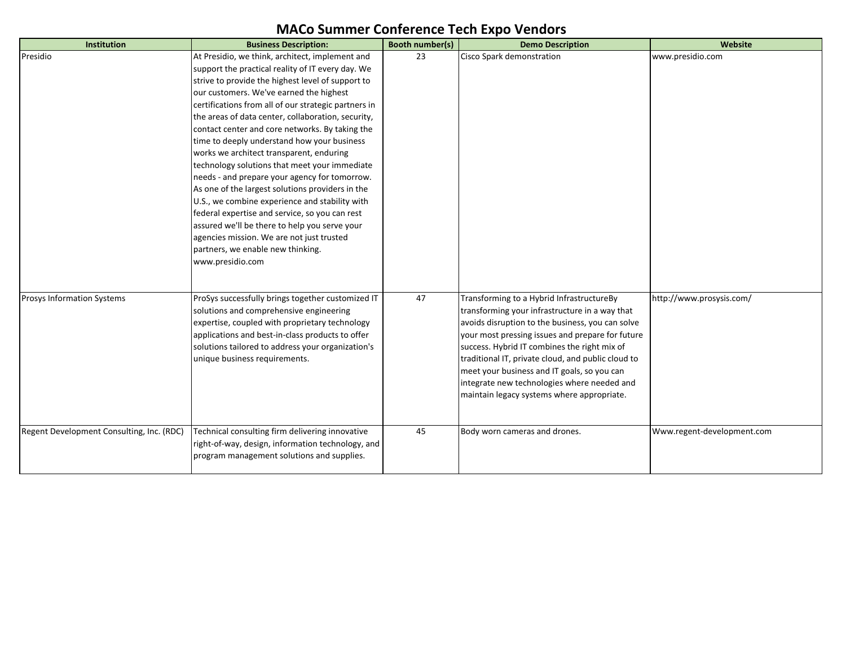| Institution                               | <b>Business Description:</b>                         | Booth number(s) | <b>Demo Description</b>                            | Website                    |
|-------------------------------------------|------------------------------------------------------|-----------------|----------------------------------------------------|----------------------------|
| Presidio                                  | At Presidio, we think, architect, implement and      | 23              | Cisco Spark demonstration                          | www.presidio.com           |
|                                           | support the practical reality of IT every day. We    |                 |                                                    |                            |
|                                           | strive to provide the highest level of support to    |                 |                                                    |                            |
|                                           | our customers. We've earned the highest              |                 |                                                    |                            |
|                                           | certifications from all of our strategic partners in |                 |                                                    |                            |
|                                           | the areas of data center, collaboration, security,   |                 |                                                    |                            |
|                                           | contact center and core networks. By taking the      |                 |                                                    |                            |
|                                           | time to deeply understand how your business          |                 |                                                    |                            |
|                                           | works we architect transparent, enduring             |                 |                                                    |                            |
|                                           | technology solutions that meet your immediate        |                 |                                                    |                            |
|                                           | needs - and prepare your agency for tomorrow.        |                 |                                                    |                            |
|                                           | As one of the largest solutions providers in the     |                 |                                                    |                            |
|                                           | U.S., we combine experience and stability with       |                 |                                                    |                            |
|                                           | federal expertise and service, so you can rest       |                 |                                                    |                            |
|                                           | assured we'll be there to help you serve your        |                 |                                                    |                            |
|                                           | agencies mission. We are not just trusted            |                 |                                                    |                            |
|                                           | partners, we enable new thinking.                    |                 |                                                    |                            |
|                                           | www.presidio.com                                     |                 |                                                    |                            |
|                                           |                                                      |                 |                                                    |                            |
|                                           |                                                      |                 |                                                    |                            |
| <b>Prosys Information Systems</b>         | ProSys successfully brings together customized IT    | 47              | Transforming to a Hybrid InfrastructureBy          | http://www.prosysis.com/   |
|                                           | solutions and comprehensive engineering              |                 | transforming your infrastructure in a way that     |                            |
|                                           | expertise, coupled with proprietary technology       |                 | avoids disruption to the business, you can solve   |                            |
|                                           | applications and best-in-class products to offer     |                 | your most pressing issues and prepare for future   |                            |
|                                           | solutions tailored to address your organization's    |                 | success. Hybrid IT combines the right mix of       |                            |
|                                           | unique business requirements.                        |                 | traditional IT, private cloud, and public cloud to |                            |
|                                           |                                                      |                 | meet your business and IT goals, so you can        |                            |
|                                           |                                                      |                 | integrate new technologies where needed and        |                            |
|                                           |                                                      |                 | maintain legacy systems where appropriate.         |                            |
|                                           |                                                      |                 |                                                    |                            |
| Regent Development Consulting, Inc. (RDC) | Technical consulting firm delivering innovative      | 45              | Body worn cameras and drones.                      | Www.regent-development.com |
|                                           | right-of-way, design, information technology, and    |                 |                                                    |                            |
|                                           | program management solutions and supplies.           |                 |                                                    |                            |
|                                           |                                                      |                 |                                                    |                            |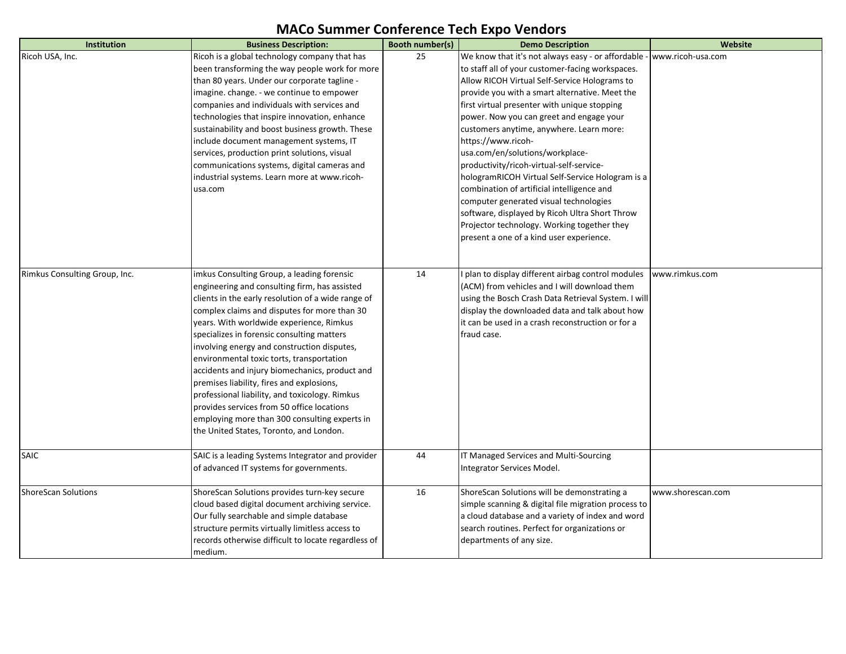| Institution                   | <b>Business Description:</b>                        | Booth number(s) | <b>Demo Description</b>                             | Website           |
|-------------------------------|-----------------------------------------------------|-----------------|-----------------------------------------------------|-------------------|
| Ricoh USA, Inc.               | Ricoh is a global technology company that has       | 25              | We know that it's not always easy - or affordable   | www.ricoh-usa.com |
|                               | been transforming the way people work for more      |                 | to staff all of your customer-facing workspaces.    |                   |
|                               | than 80 years. Under our corporate tagline -        |                 | Allow RICOH Virtual Self-Service Holograms to       |                   |
|                               | imagine. change. - we continue to empower           |                 | provide you with a smart alternative. Meet the      |                   |
|                               | companies and individuals with services and         |                 | first virtual presenter with unique stopping        |                   |
|                               | technologies that inspire innovation, enhance       |                 | power. Now you can greet and engage your            |                   |
|                               | sustainability and boost business growth. These     |                 | customers anytime, anywhere. Learn more:            |                   |
|                               | include document management systems, IT             |                 | https://www.ricoh-                                  |                   |
|                               | services, production print solutions, visual        |                 | usa.com/en/solutions/workplace-                     |                   |
|                               | communications systems, digital cameras and         |                 | productivity/ricoh-virtual-self-service-            |                   |
|                               | industrial systems. Learn more at www.ricoh-        |                 | hologramRICOH Virtual Self-Service Hologram is a    |                   |
|                               | usa.com                                             |                 | combination of artificial intelligence and          |                   |
|                               |                                                     |                 | computer generated visual technologies              |                   |
|                               |                                                     |                 | software, displayed by Ricoh Ultra Short Throw      |                   |
|                               |                                                     |                 | Projector technology. Working together they         |                   |
|                               |                                                     |                 | present a one of a kind user experience.            |                   |
|                               |                                                     |                 |                                                     |                   |
| Rimkus Consulting Group, Inc. | imkus Consulting Group, a leading forensic          | 14              | plan to display different airbag control modules    | www.rimkus.com    |
|                               | engineering and consulting firm, has assisted       |                 | (ACM) from vehicles and I will download them        |                   |
|                               | clients in the early resolution of a wide range of  |                 | using the Bosch Crash Data Retrieval System. I will |                   |
|                               | complex claims and disputes for more than 30        |                 | display the downloaded data and talk about how      |                   |
|                               | years. With worldwide experience, Rimkus            |                 | it can be used in a crash reconstruction or for a   |                   |
|                               | specializes in forensic consulting matters          |                 | fraud case.                                         |                   |
|                               | involving energy and construction disputes,         |                 |                                                     |                   |
|                               | environmental toxic torts, transportation           |                 |                                                     |                   |
|                               | accidents and injury biomechanics, product and      |                 |                                                     |                   |
|                               | premises liability, fires and explosions,           |                 |                                                     |                   |
|                               | professional liability, and toxicology. Rimkus      |                 |                                                     |                   |
|                               | provides services from 50 office locations          |                 |                                                     |                   |
|                               | employing more than 300 consulting experts in       |                 |                                                     |                   |
|                               | the United States, Toronto, and London.             |                 |                                                     |                   |
|                               |                                                     |                 |                                                     |                   |
| <b>SAIC</b>                   | SAIC is a leading Systems Integrator and provider   | 44              | IT Managed Services and Multi-Sourcing              |                   |
|                               | of advanced IT systems for governments.             |                 | Integrator Services Model.                          |                   |
|                               |                                                     |                 |                                                     |                   |
| <b>ShoreScan Solutions</b>    | ShoreScan Solutions provides turn-key secure        | 16              | ShoreScan Solutions will be demonstrating a         | www.shorescan.com |
|                               | cloud based digital document archiving service.     |                 | simple scanning & digital file migration process to |                   |
|                               | Our fully searchable and simple database            |                 | a cloud database and a variety of index and word    |                   |
|                               | structure permits virtually limitless access to     |                 | search routines. Perfect for organizations or       |                   |
|                               | records otherwise difficult to locate regardless of |                 | departments of any size.                            |                   |
|                               | medium.                                             |                 |                                                     |                   |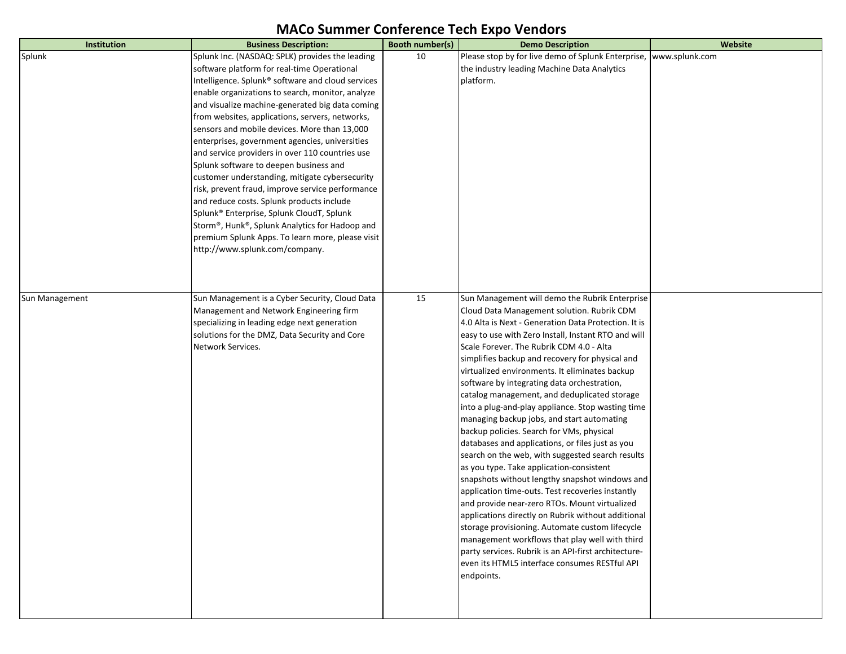| Institution    | <b>Business Description:</b>                                                                  | Booth number(s) | <b>Demo Description</b>                                                                            | Website        |
|----------------|-----------------------------------------------------------------------------------------------|-----------------|----------------------------------------------------------------------------------------------------|----------------|
| Splunk         | Splunk Inc. (NASDAQ: SPLK) provides the leading                                               | 10              | Please stop by for live demo of Splunk Enterprise,                                                 | www.splunk.com |
|                | software platform for real-time Operational                                                   |                 | the industry leading Machine Data Analytics                                                        |                |
|                | Intelligence. Splunk® software and cloud services                                             |                 | platform.                                                                                          |                |
|                | enable organizations to search, monitor, analyze                                              |                 |                                                                                                    |                |
|                | and visualize machine-generated big data coming                                               |                 |                                                                                                    |                |
|                | from websites, applications, servers, networks,                                               |                 |                                                                                                    |                |
|                | sensors and mobile devices. More than 13,000                                                  |                 |                                                                                                    |                |
|                | enterprises, government agencies, universities                                                |                 |                                                                                                    |                |
|                | and service providers in over 110 countries use                                               |                 |                                                                                                    |                |
|                | Splunk software to deepen business and                                                        |                 |                                                                                                    |                |
|                | customer understanding, mitigate cybersecurity                                                |                 |                                                                                                    |                |
|                | risk, prevent fraud, improve service performance                                              |                 |                                                                                                    |                |
|                | and reduce costs. Splunk products include                                                     |                 |                                                                                                    |                |
|                | Splunk® Enterprise, Splunk CloudT, Splunk                                                     |                 |                                                                                                    |                |
|                | Storm®, Hunk®, Splunk Analytics for Hadoop and                                                |                 |                                                                                                    |                |
|                | premium Splunk Apps. To learn more, please visit                                              |                 |                                                                                                    |                |
|                | http://www.splunk.com/company.                                                                |                 |                                                                                                    |                |
|                |                                                                                               |                 |                                                                                                    |                |
|                |                                                                                               |                 |                                                                                                    |                |
|                |                                                                                               |                 |                                                                                                    |                |
| Sun Management | Sun Management is a Cyber Security, Cloud Data                                                | 15              | Sun Management will demo the Rubrik Enterprise                                                     |                |
|                | Management and Network Engineering firm                                                       |                 | Cloud Data Management solution. Rubrik CDM<br>4.0 Alta is Next - Generation Data Protection. It is |                |
|                | specializing in leading edge next generation<br>solutions for the DMZ, Data Security and Core |                 | easy to use with Zero Install, Instant RTO and will                                                |                |
|                | Network Services.                                                                             |                 | Scale Forever. The Rubrik CDM 4.0 - Alta                                                           |                |
|                |                                                                                               |                 | simplifies backup and recovery for physical and                                                    |                |
|                |                                                                                               |                 | virtualized environments. It eliminates backup                                                     |                |
|                |                                                                                               |                 | software by integrating data orchestration,                                                        |                |
|                |                                                                                               |                 | catalog management, and deduplicated storage                                                       |                |
|                |                                                                                               |                 | into a plug-and-play appliance. Stop wasting time                                                  |                |
|                |                                                                                               |                 | managing backup jobs, and start automating                                                         |                |
|                |                                                                                               |                 | backup policies. Search for VMs, physical                                                          |                |
|                |                                                                                               |                 | databases and applications, or files just as you                                                   |                |
|                |                                                                                               |                 | search on the web, with suggested search results                                                   |                |
|                |                                                                                               |                 | as you type. Take application-consistent                                                           |                |
|                |                                                                                               |                 | snapshots without lengthy snapshot windows and                                                     |                |
|                |                                                                                               |                 | application time-outs. Test recoveries instantly                                                   |                |
|                |                                                                                               |                 | and provide near-zero RTOs. Mount virtualized                                                      |                |
|                |                                                                                               |                 | applications directly on Rubrik without additional                                                 |                |
|                |                                                                                               |                 | storage provisioning. Automate custom lifecycle                                                    |                |
|                |                                                                                               |                 | management workflows that play well with third                                                     |                |
|                |                                                                                               |                 | party services. Rubrik is an API-first architecture-                                               |                |
|                |                                                                                               |                 | even its HTML5 interface consumes RESTful API                                                      |                |
|                |                                                                                               |                 | endpoints.                                                                                         |                |
|                |                                                                                               |                 |                                                                                                    |                |
|                |                                                                                               |                 |                                                                                                    |                |
|                |                                                                                               |                 |                                                                                                    |                |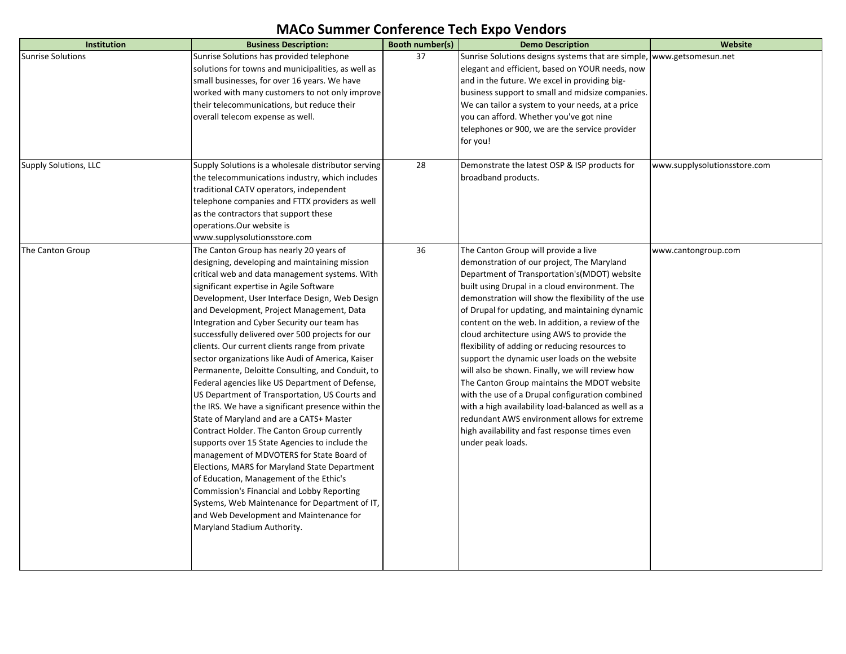| <b>Institution</b>           | <b>Business Description:</b>                        | Booth number(s) | <b>Demo Description</b>                             | Website                      |
|------------------------------|-----------------------------------------------------|-----------------|-----------------------------------------------------|------------------------------|
| <b>Sunrise Solutions</b>     | Sunrise Solutions has provided telephone            | 37              | Sunrise Solutions designs systems that are simple,  | www.getsomesun.net           |
|                              | solutions for towns and municipalities, as well as  |                 | elegant and efficient, based on YOUR needs, now     |                              |
|                              | small businesses, for over 16 years. We have        |                 | and in the future. We excel in providing big-       |                              |
|                              | worked with many customers to not only improve      |                 | business support to small and midsize companies.    |                              |
|                              | their telecommunications, but reduce their          |                 | We can tailor a system to your needs, at a price    |                              |
|                              | overall telecom expense as well.                    |                 | you can afford. Whether you've got nine             |                              |
|                              |                                                     |                 | telephones or 900, we are the service provider      |                              |
|                              |                                                     |                 | for you!                                            |                              |
| <b>Supply Solutions, LLC</b> | Supply Solutions is a wholesale distributor serving | 28              | Demonstrate the latest OSP & ISP products for       | www.supplysolutionsstore.com |
|                              |                                                     |                 |                                                     |                              |
|                              | the telecommunications industry, which includes     |                 | broadband products.                                 |                              |
|                              | traditional CATV operators, independent             |                 |                                                     |                              |
|                              | telephone companies and FTTX providers as well      |                 |                                                     |                              |
|                              | as the contractors that support these               |                 |                                                     |                              |
|                              | operations.Our website is                           |                 |                                                     |                              |
|                              | www.supplysolutionsstore.com                        |                 |                                                     |                              |
| The Canton Group             | The Canton Group has nearly 20 years of             | 36              | The Canton Group will provide a live                | www.cantongroup.com          |
|                              | designing, developing and maintaining mission       |                 | demonstration of our project, The Maryland          |                              |
|                              | critical web and data management systems. With      |                 | Department of Transportation's (MDOT) website       |                              |
|                              | significant expertise in Agile Software             |                 | built using Drupal in a cloud environment. The      |                              |
|                              | Development, User Interface Design, Web Design      |                 | demonstration will show the flexibility of the use  |                              |
|                              | and Development, Project Management, Data           |                 | of Drupal for updating, and maintaining dynamic     |                              |
|                              | Integration and Cyber Security our team has         |                 | content on the web. In addition, a review of the    |                              |
|                              | successfully delivered over 500 projects for our    |                 | cloud architecture using AWS to provide the         |                              |
|                              | clients. Our current clients range from private     |                 | flexibility of adding or reducing resources to      |                              |
|                              | sector organizations like Audi of America, Kaiser   |                 | support the dynamic user loads on the website       |                              |
|                              | Permanente, Deloitte Consulting, and Conduit, to    |                 | will also be shown. Finally, we will review how     |                              |
|                              | Federal agencies like US Department of Defense,     |                 | The Canton Group maintains the MDOT website         |                              |
|                              | US Department of Transportation, US Courts and      |                 | with the use of a Drupal configuration combined     |                              |
|                              | the IRS. We have a significant presence within the  |                 | with a high availability load-balanced as well as a |                              |
|                              | State of Maryland and are a CATS+ Master            |                 | redundant AWS environment allows for extreme        |                              |
|                              | Contract Holder. The Canton Group currently         |                 | high availability and fast response times even      |                              |
|                              | supports over 15 State Agencies to include the      |                 | under peak loads.                                   |                              |
|                              | management of MDVOTERS for State Board of           |                 |                                                     |                              |
|                              | Elections, MARS for Maryland State Department       |                 |                                                     |                              |
|                              | of Education, Management of the Ethic's             |                 |                                                     |                              |
|                              | Commission's Financial and Lobby Reporting          |                 |                                                     |                              |
|                              | Systems, Web Maintenance for Department of IT,      |                 |                                                     |                              |
|                              | and Web Development and Maintenance for             |                 |                                                     |                              |
|                              | Maryland Stadium Authority.                         |                 |                                                     |                              |
|                              |                                                     |                 |                                                     |                              |
|                              |                                                     |                 |                                                     |                              |
|                              |                                                     |                 |                                                     |                              |